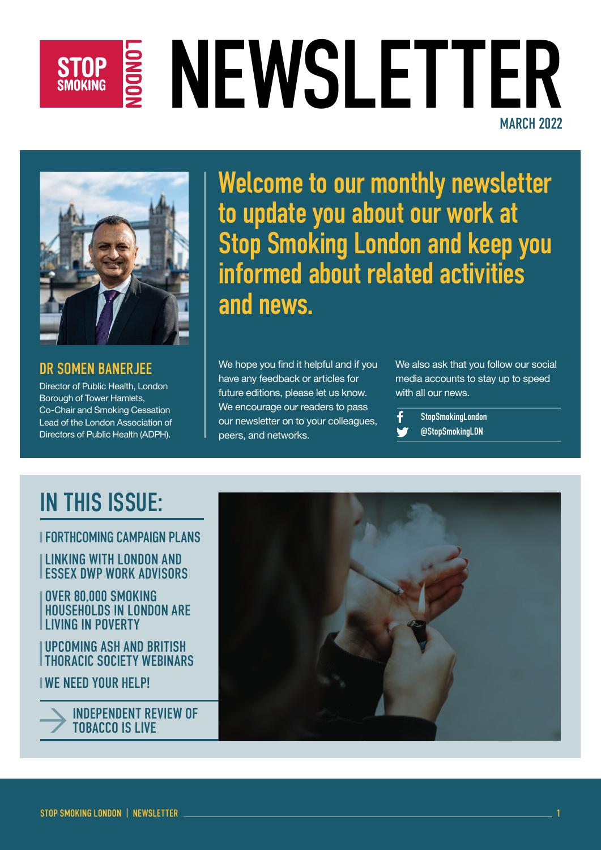## STOP S NEWSLETTER **MARCH 2022**



DR SOMEN BANERJEE

Director of Public Health, London Borough of Tower Hamlets, Co-Chair and Smoking Cessation Lead of the London Association of Directors of Public Health (ADPH).

Welcome to our monthly newsletter to update you about our work at Stop Smoking London and keep you informed about related activities and news.

We hope you find it helpful and if you have any feedback or articles for future editions, please let us know. We encourage our readers to pass our newsletter on to your colleagues, peers, and networks.

We also ask that you follow our social media accounts to stay up to speed with all our news.

#### **StopSmokingLondon** @StopSmokingLDN

#### IN THIS ISSUE:

FORTHCOMING CAMPAIGN PLANS

LINKING WITH LONDON AND ESSEX DWP WORK ADVISORS

OVER 80,000 SMOKING HOUSEHOLDS IN LONDON ARE LIVING IN POVERTY

UPCOMING ASH AND BRITISH THORACIC SOCIETY WEBINARS

**IWE NEED YOUR HELP!** 



INDEPENDENT REVIEW OF TOBACCO IS LIVE

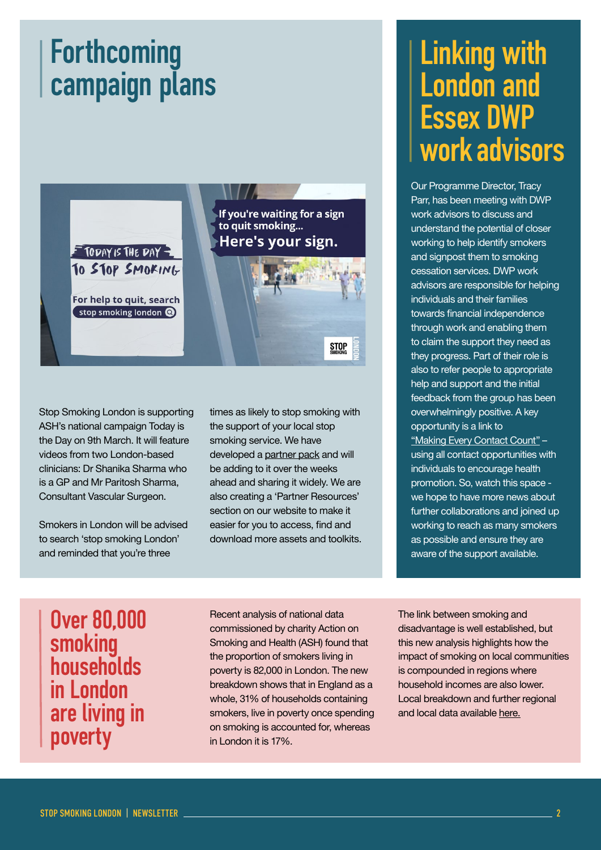## Forthcoming campaign plans



Stop Smoking London is supporting ASH's national campaign Today is the Day on 9th March. It will feature videos from two London-based clinicians: Dr Shanika Sharma who is a GP and Mr Paritosh Sharma, Consultant Vascular Surgeon.

Smokers in London will be advised to search 'stop smoking London' and reminded that you're three

times as likely to stop smoking with the support of your local stop smoking service. We have developed a [partner pack](https://stopsmokinglondon.com/downloads/SSLNSDSocials.zip) and will be adding to it over the weeks ahead and sharing it widely. We are also creating a 'Partner Resources' section on our website to make it easier for you to access, find and download more assets and toolkits.

#### Linking with London and Essex DWP work advisors

Our Programme Director, Tracy Parr, has been meeting with DWP work advisors to discuss and understand the potential of closer working to help identify smokers and signpost them to smoking cessation services. DWP work advisors are responsible for helping individuals and their families towards financial independence through work and enabling them to claim the support they need as they progress. Part of their role is also to refer people to appropriate help and support and the initial feedback from the group has been overwhelmingly positive. A key opportunity is a link to ["Making Every Contact Count"](https://www.mecclink.co.uk/london/smoking/) – using all contact opportunities with individuals to encourage health promotion. So, watch this space we hope to have more news about further collaborations and joined up working to reach as many smokers as possible and ensure they are aware of the support available.

Over 80,000 smoking households in London are living in poverty

Recent analysis of national data commissioned by charity Action on Smoking and Health (ASH) found that the proportion of smokers living in poverty is 82,000 in London. The new breakdown shows that in England as a whole, 31% of households containing smokers, live in poverty once spending on smoking is accounted for, whereas in London it is 17%.

The link between smoking and disadvantage is well established, but this new analysis highlights how the impact of smoking on local communities is compounded in regions where household incomes are also lower. Local breakdown and further regional and local data available [here.](https://ash.org.uk/wp-content/uploads/2022/02/Up-in-smoke_how-tobacco-drives-economic-and-health-inequalities-dashboard.zip)